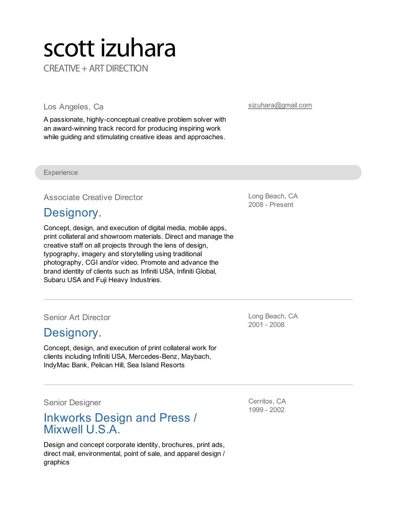# scott izuhara CREATIVE + ART DIRECTION

Los Angeles, Ca

A passionate, highly-conceptual creative problem solver with an award-winning track record for producing inspiring work while guiding and stimulating creative ideas and approaches.

[sizuhara@gmail.com](mailto:sizuhara@gmail.com)

**Experience** 

Associate Creative Director

# [Designory.](http://designory.com/)

Concept, design, and execution of digital media, mobile apps, print collateral and showroom materials. Direct and manage the creative staff on all projects through the lens of design, typography, imagery and storytelling using traditional photography, CGI and/or video. Promote and advance the brand identity of clients such as Infiniti USA, Infiniti Global, Subaru USA and Fuji Heavy Industries.

Senior Art Director

## [Designory.](http://designory.com/)

Concept, design, and execution of print collateral work for clients including Infiniti USA, Mercedes-Benz, Maybach, IndyMac Bank, Pelican Hill, Sea Island Resorts

Senior Designer

# Inkworks Design and Press / Mixwell U.S.A.

Design and concept corporate identity, brochures, print ads, direct mail, environmental, point of sale, and apparel design / graphics

Long Beach, CA 2008 - Present

Long Beach, CA 2001 - 2008

Cerritos, CA 1999 - 2002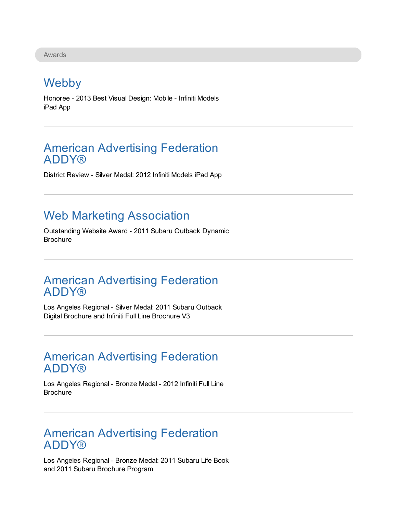Awards

# Webby

Honoree - 2013 Best Visual Design: Mobile - Infiniti Models iPad App

#### American Advertising Federation **ADDY®**

District Review - Silver Medal: 2012 Infiniti Models iPad App

# Web Marketing Association

Outstanding Website Award - 2011 Subaru Outback Dynamic **Brochure** 

#### American Advertising Federation **ADDY®**

Los Angeles Regional - Silver Medal: 2011 Subaru Outback Digital Brochure and Infiniti Full Line Brochure V3

#### American Advertising Federation **ADDY®**

Los Angeles Regional - Bronze Medal - 2012 Infiniti Full Line **Brochure** 

#### American Advertising Federation **ADDY®**

Los Angeles Regional - Bronze Medal: 2011 Subaru Life Book and 2011 Subaru Brochure Program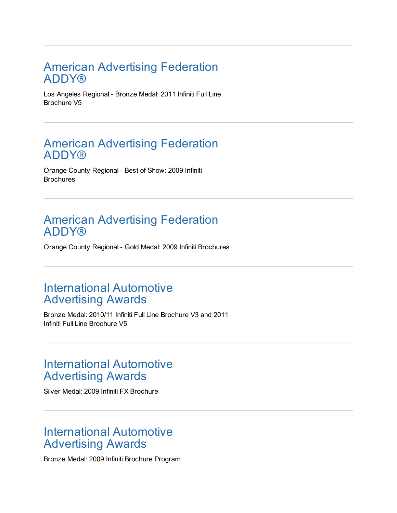#### American Advertising Federation **ADDY®**

Los Angeles Regional - Bronze Medal: 2011 Infiniti Full Line Brochure V5

#### American Advertising Federation **ADDY®**

Orange County Regional - Best of Show: 2009 Infiniti **Brochures** 

#### American Advertising Federation **ADDY®**

Orange County Regional - Gold Medal: 2009 Infiniti Brochures

#### International Automotive Advertising Awards

Bronze Medal: 2010/11 Infiniti Full Line Brochure V3 and 2011 Infiniti Full Line Brochure V5

#### International Automotive Advertising Awards

Silver Medal: 2009 Infiniti FX Brochure

#### International Automotive Advertising Awards

Bronze Medal: 2009 Infiniti Brochure Program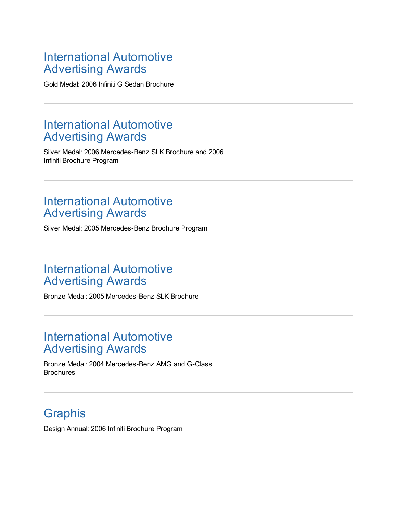#### International Automotive Advertising Awards

Gold Medal: 2006 Infiniti G Sedan Brochure

## International Automotive Advertising Awards

Silver Medal: 2006 Mercedes-Benz SLK Brochure and 2006 Infiniti Brochure Program

#### International Automotive Advertising Awards

Silver Medal: 2005 Mercedes-Benz Brochure Program

# International Automotive Advertising Awards

Bronze Medal: 2005 Mercedes-Benz SLK Brochure

## International Automotive Advertising Awards

Bronze Medal: 2004 Mercedes-Benz AMG and G-Class **Brochures** 

# **Graphis**

Design Annual: 2006 Infiniti Brochure Program